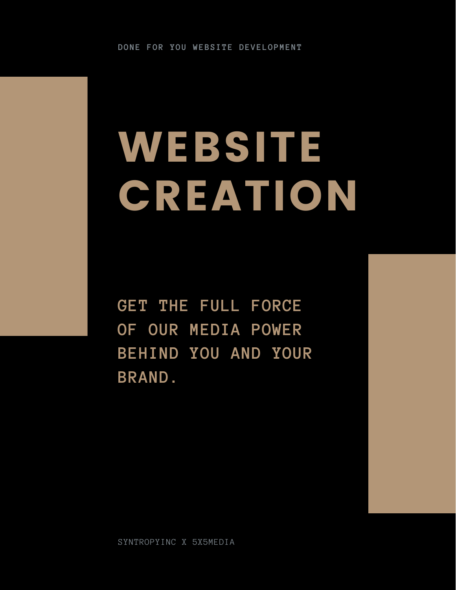# WEBSITE **CREATION**

**GET THE FULL FORCE OF OUR MEDIA POWER BEHIND YOU AND YOUR BRAND.**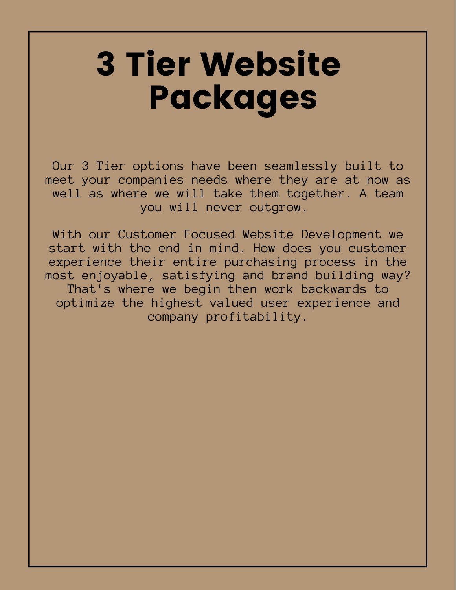### 3 Tier Website Packages

Our 3 Tier options have been seamlessly built to meet your companies needs where they are at now as well as where we will take them together. A team you will never outgrow.

With our Customer Focused Website Development we start with the end in mind. How does you customer experience their entire purchasing process in the most enjoyable, satisfying and brand building way? That's where we begin then work backwards to optimize the highest valued user experience and company profitability.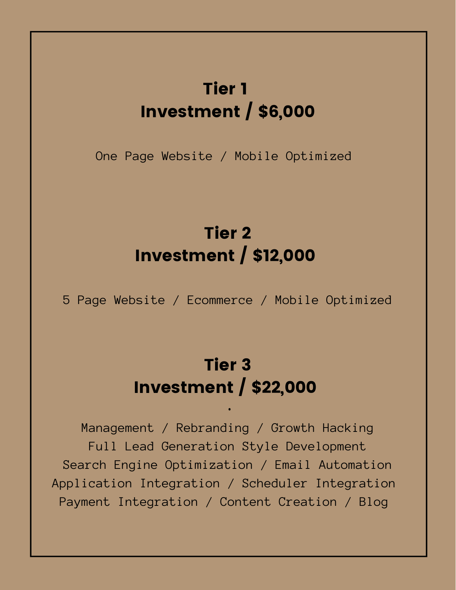#### Tier 1 Investment / \$6,000

One Page Website / Mobile Optimized

#### Tier 2 Investment / \$12,000

5 Page Website / Ecommerce / Mobile Optimized

#### Tier 3 Investment / \$22,000

•

Management / Rebranding / Growth Hacking Full Lead Generation Style Development Search Engine Optimization / Email Automation Application Integration / Scheduler Integration Payment Integration / Content Creation / Blog